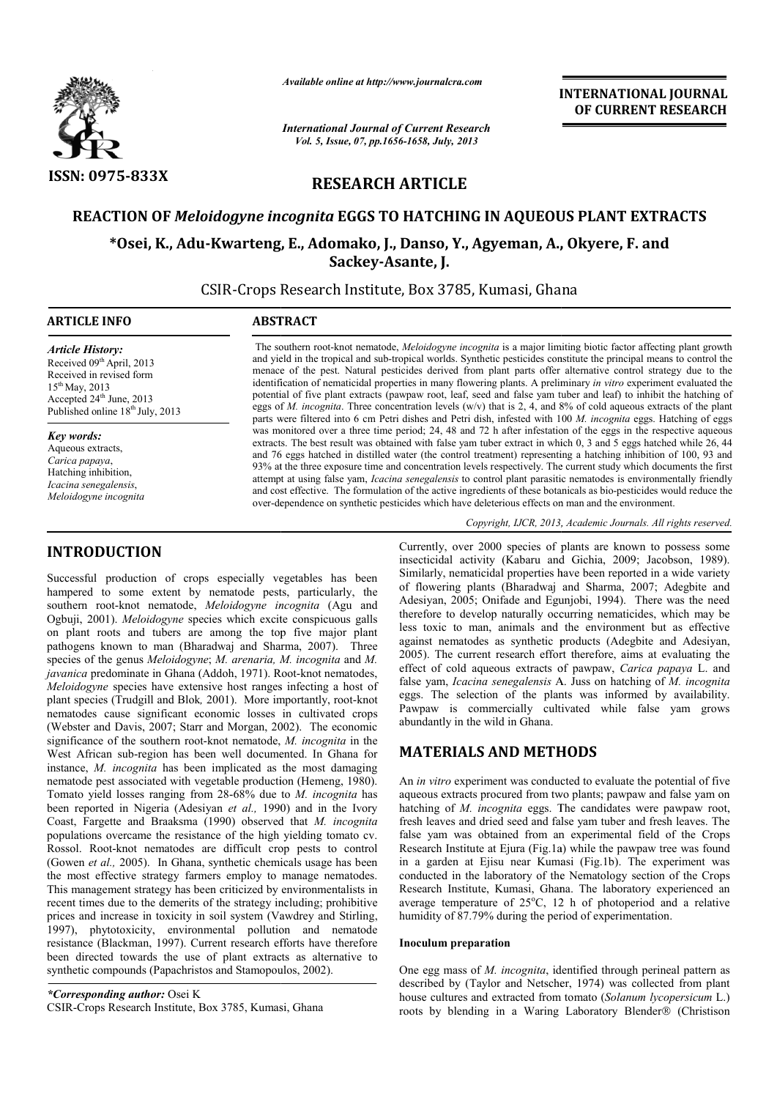

INTRODUCTION

*Available online at http://www.journalcra.com*

*International Journal of Current Research Vol. 5, Issue, 07, pp.1656-1658, July, 2013*

INTERNATIONAL INTERNATIONAL JOURNAL OF CURRENT RESEARCH

# RESEARCH ARTICLE

## REACTION OF *Meloidogyne incognita* EGGS TO HATCHING IN AQUEOUS PLANT EXTRACTS

## \*Osei, K., Adu-Kwarteng, E., Adomako, J., Danso, Y., Agyeman, A., Okyere, F. and Sackey-Asante, J.

CSIR-Crops Research Institute, Box 3785, Kumasi, Ghana

| <b>ARTICLE INFO</b>                                                                                                                                                                        | <b>ABSTRACT</b>                                                                                                                                                                                                                                                                                                                                                                                                                                                                                                                                                                                                                                                                                                                                                                                                                                           |
|--------------------------------------------------------------------------------------------------------------------------------------------------------------------------------------------|-----------------------------------------------------------------------------------------------------------------------------------------------------------------------------------------------------------------------------------------------------------------------------------------------------------------------------------------------------------------------------------------------------------------------------------------------------------------------------------------------------------------------------------------------------------------------------------------------------------------------------------------------------------------------------------------------------------------------------------------------------------------------------------------------------------------------------------------------------------|
| <b>Article History:</b><br>Received 09 <sup>th</sup> April, 2013<br>Received in revised form<br>$15^{th}$ May, 2013<br>Accepted $24th$ June, 2013<br>Published online $18^{th}$ July, 2013 | The southern root-knot nematode, <i>Meloidogyne incognita</i> is a major limiting biotic factor affecting plant growth<br>and yield in the tropical and sub-tropical worlds. Synthetic pesticides constitute the principal means to control the<br>menace of the pest. Natural pesticides derived from plant parts offer alternative control strategy due to the<br>identification of nematicidal properties in many flowering plants. A preliminary in vitro experiment evaluated the<br>potential of five plant extracts (pawpaw root, leaf, seed and false vam tuber and leaf) to inhibit the hatching of<br>eggs of M. incognita. Three concentration levels ( $w/v$ ) that is 2, 4, and 8% of cold aqueous extracts of the plant<br>parts were filtered into 6 cm Petri dishes and Petri dish, infested with 100 M, incognita eggs. Hatching of eggs |
| <b>Key words:</b><br>Aqueous extracts,<br>Carica papaya,<br>Hatching inhibition,<br>Icacina senegalensis,<br>Meloidogyne incognita                                                         | was monitored over a three time period; 24, 48 and 72 h after infestation of the eggs in the respective aqueous<br>extracts. The best result was obtained with false vam tuber extract in which 0, 3 and 5 eggs hatched while 26, 44<br>and 76 eggs hatched in distilled water (the control treatment) representing a hatching inhibition of 100, 93 and<br>93% at the three exposure time and concentration levels respectively. The current study which documents the first<br>attempt at using false yam, <i>Icacina senegalensis</i> to control plant parasitic nematodes is environmentally friendly<br>and cost effective. The formulation of the active ingredients of these botanicals as bio-pesticides would reduce the<br>over-dependence on synthetic pesticides which have deleterious effects on man and the environment.                   |
|                                                                                                                                                                                            | Copyright, IJCR, 2013, Academic Journals. All rights reserved.                                                                                                                                                                                                                                                                                                                                                                                                                                                                                                                                                                                                                                                                                                                                                                                            |

### Successful production of crops especially vegetables has been hampered to some extent by nematode pests, particularly, the southern root-knot nematode, *Meloidogyne incognita* (Agu and Ogbuji, 2001). *Meloidogyne* species which excite conspicuous galls on plant roots and tubers are among the top five major plant pathogens known to man (Bharadwaj and Sharma, 2007). Three species of the genus *Meloidogyne*; *M. arenaria, M. incognita* and *M.*  javanica predominate in Ghana (Addoh, 1971). Root-knot nematodes, *Meloidogyne* species have extensive host ranges infecting a host of plant species (Trudgill and Blok, 2001). More importantly, root-knot nematodes cause significant economic losses in cultivated crops (Webster and Davis, 2007; Starr and Morgan, 2002). The economic significance of the southern root-knot nematode, M. incognita in the West African sub-region has been well documented. In Ghana for instance, *M. incognita* has been implicated as the most damaging nematode pest associated with vegetable production (Hemeng, 1980). Tomato yield losses ranging from 28-68% due to M. *incognita* has been reported in Nigeria (Adesiyan *et al.,* 1990) and in the Ivory Coast, Fargette and Braaksma (1990) observed that *M. incognita* populations overcame the resistance of the high yielding tomato cv. Rossol. Root-knot nematodes are difficult crop pests to control (Gowen *et al.,* 2005). In Ghana, synthetic chemicals usage has been the most effective strategy farmers employ to manage nematodes. This management strategy has been criticized by environmentalists in recent times due to the demerits of the strategy including; prohibitive prices and increase in toxicity in soil system (Vawdrey and Stirling, 1997), phytotoxicity, environmental pollution and nematode resistance (Blackman, 1997). Current research efforts have therefore been directed towards the use of plant extracts as alternative to synthetic compounds (Papachristos and Stamopoulos, 2002). **CODUCTION**<br>
Currently, cross some time through the controller state is more time that a propose that production of controller state of plants are a smooth of position of controller and the controller and the controller a

*\*Corresponding author:* Osei K CSIR-Crops Research Institute, Box 3785, Kumasi, Ghana

insecticidal activity (Kabaru and Gichia, 2009; Jacobson, 1989). Similarly, nematicidal properties have been reported in a wide variety of flowering plants (Bharadwaj and Sharma, 2007; Adeg Adesiyan, 2005; Onifade and Egunjobi, 1994). There was the need therefore to develop naturally occurring nematicides, which may be less toxic to man, animals and the environment but as effective against nematodes as synthetic products (Adegbite and Adesiyan, 2005). The current research effort therefore, aims at evaluating the 2005). The current research effort therefore, aims at evaluating the effect of cold aqueous extracts of pawpaw, *Carica papaya* L. and false yam, *Icacina senegalensis* A. Juss on hatching of M. *incognita* eggs. The selection of the plants was informed by availability. eggs. The selection of the plants was informed by availability.<br>Pawpaw is commercially cultivated while false yam grows abundantly in the wild in Ghana. rently, over 2000 species of plants are known to possess some ecticidal activity (Kabaru and Gichia, 2009; Jacobson, 1989). illarly, nematicidal properties have been reported in a wide variety flowering plants (Bharadwaj a 005; Onifade and Egunjobi, 1994). There was the need develop naturally occurring nematicides, which may be  $\alpha$  man, animals and the environment but as effective

## MATERIALS AND METHODS METHODS

An *in vitro* experiment was conducted to evaluate the potential of five aqueous extracts procured from two plants; pawpaw and false yam on hatching of *M. incognita* eggs. The candidates were pawpaw root, fresh leaves and dried seed and false yam tuber and fresh leaves. The false yam was obtained from an experimental field of the Crops Research Institute at Ejura (Fig.1a) while the pawpaw tree was found in a garden at Ejisu near Kumasi (Fig.1b). The experiment was conducted in the laboratory of the Nematology section of the Crops Research Institute, Kumasi, Ghana. The laboratory experienced an average temperature of 25°C, 12 h of photoperiod and a relative humidity of 87.79% during the period of experimentation. humidity of 87.79% during the period of experimentation. the experiment was conducted to evaluate the potential of five extracts procured from two plants; pawpaw and false yam on of *M. incognita* eggs. The candidates were pawpaw root, es and dried seed and false yam tuber and f

#### Inoculum preparation

One egg mass of *M. incognita*, identified through perineal pattern as One egg mass of *M. incognita*, identified through perineal pattern as described by (Taylor and Netscher, 1974) was collected from plant house cultures and extracted from tomato ( (*Solanum lycopersicum* L.) roots by blending in a Waring Laboratory Blender® (Christison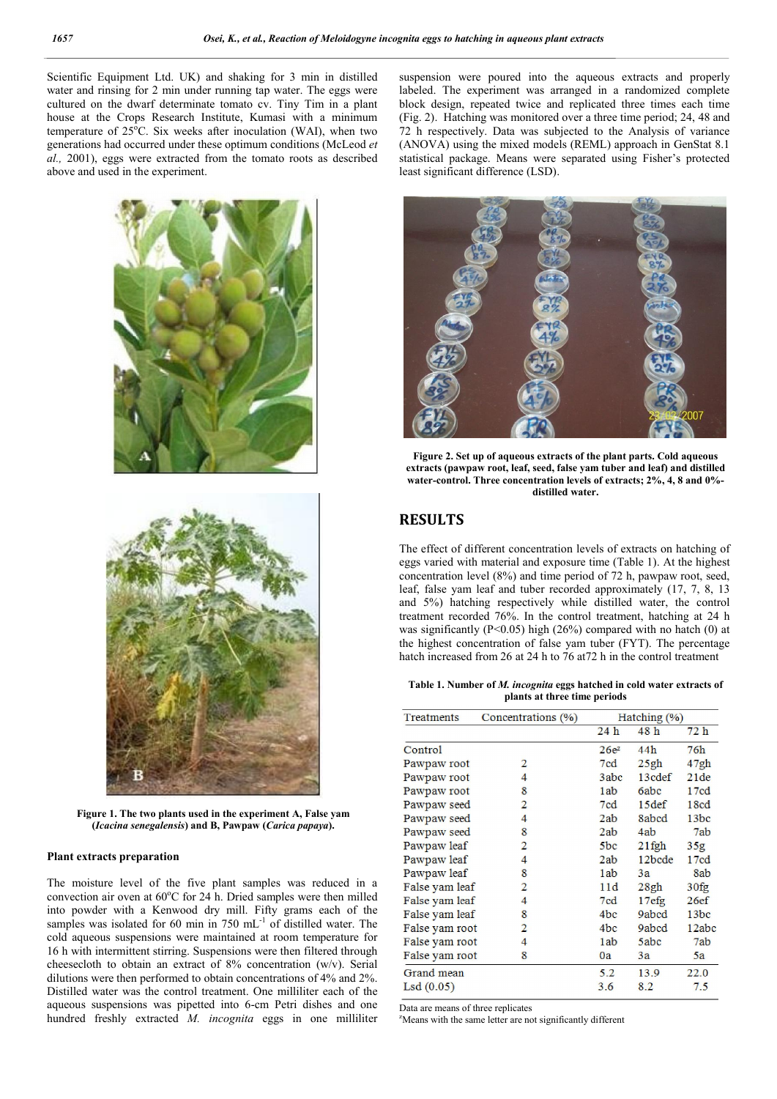Scientific Equipment Ltd. UK) and shaking for 3 min in distilled water and rinsing for 2 min under running tap water. The eggs were cultured on the dwarf determinate tomato cv. Tiny Tim in a plant house at the Crops Research Institute, Kumasi with a minimum temperature of  $25^{\circ}$ C. Six weeks after inoculation (WAI), when two generations had occurred under these optimum conditions (McLeod *et al.,* 2001), eggs were extracted from the tomato roots as described above and used in the experiment.



Figure 1. The two plants used in the experiment A, False yam (*Icacina senegalensis*) and B, Pawpaw (*Carica papaya*).

#### Plant extracts preparation

The moisture level of the five plant samples was reduced in a convection air oven at  $60^{\circ}$ C for 24 h. Dried samples were then milled into powder with a Kenwood dry mill. Fifty grams each of the samples was isolated for 60 min in 750 mL<sup>-1</sup> of distilled water. The cold aqueous suspensions were maintained at room temperature for 16 h with intermittent stirring. Suspensions were then filtered through cheesecloth to obtain an extract of 8% concentration (w/v). Serial dilutions were then performed to obtain concentrations of 4% and 2%. Distilled water was the control treatment. One milliliter each of the aqueous suspensions was pipetted into 6-cm Petri dishes and one hundred freshly extracted *M. incognita* eggs in one milliliter

suspension were poured into the aqueous extracts and properly labeled. The experiment was arranged in a randomized complete block design, repeated twice and replicated three times each time (Fig. 2). Hatching was monitored over a three time period; 24, 48 and 72 h respectively. Data was subjected to the Analysis of variance (ANOVA) using the mixed models (REML) approach in GenStat 8.1 statistical package. Means were separated using Fisher's protected least significant difference (LSD).



Figure 2. Set up of aqueous extracts of the plant parts. Cold aqueous extracts (pawpaw root, leaf, seed, false yam tuber and leaf) and distilled water-control. Three concentration levels of extracts; 2%, 4, 8 and 0% distilled water.

### RESULTS

The effect of different concentration levels of extracts on hatching of eggs varied with material and exposure time (Table 1). At the highest concentration level (8%) and time period of 72 h, pawpaw root, seed, leaf, false yam leaf and tuber recorded approximately (17, 7, 8, 13 and 5%) hatching respectively while distilled water, the control treatment recorded 76%. In the control treatment, hatching at 24 h was significantly ( $P<0.05$ ) high (26%) compared with no hatch (0) at the highest concentration of false yam tuber (FYT). The percentage hatch increased from 26 at 24 h to 76 at72 h in the control treatment

Table 1. Number of *M. incognita* eggs hatched in cold water extracts of plants at three time periods

| Treatments     | Concentrations (%) | Hatching (%)    |                   |                 |
|----------------|--------------------|-----------------|-------------------|-----------------|
|                |                    | 24h             | 48h               | 72h             |
| Control        |                    | $26e^z$         | 44h               | 76h             |
| Pawpaw root    | 2                  | 7cd             | 25gh              | 47gh            |
| Pawpaw root    | 4                  | 3abc            | 13cdef            | 21de            |
| Pawpaw root    | 8                  | 1ab             | 6abc              | 17cd            |
| Pawpaw seed    | 2                  | 7cd             | 15def             | 18cd            |
| Pawpaw seed    | 4                  | 2ab             | 8abcd             | 13bc            |
| Pawpaw seed    | 8                  | 2ab             | 4ab               | 7ab             |
| Pawpaw leaf    | 2                  | 5bc             | $21$ fgh          | 35 <sub>g</sub> |
| Pawpaw leaf    | 4                  | 2ab             | 12bcde            | 17cd            |
| Pawpaw leaf    | 8                  | 1ab             | 3a                | 8ab             |
| False yam leaf | 2                  | 11d             | 28gh              | 30fg            |
| False yam leaf | 4                  | 7cd             | 17 <sub>eff</sub> | 26ef            |
| False yam leaf | 8                  | 4 <sub>bc</sub> | 9abcd             | 13bc            |
| False yam root | 2                  | 4 <sub>bc</sub> | 9abcd             | 12abc           |
| False yam root | 4                  | 1ab             | 5abc              | 7ab             |
| False yam root | 8                  | 0a              | 3a                | 5a              |
| Grand mean     |                    | 5.2             | 13.9              | 22.0            |
| LSd(0.05)      |                    | 3.6             | 8.2               | 7.5             |

Data are means of three replicates

<sup>z</sup>Means with the same letter are not significantly different